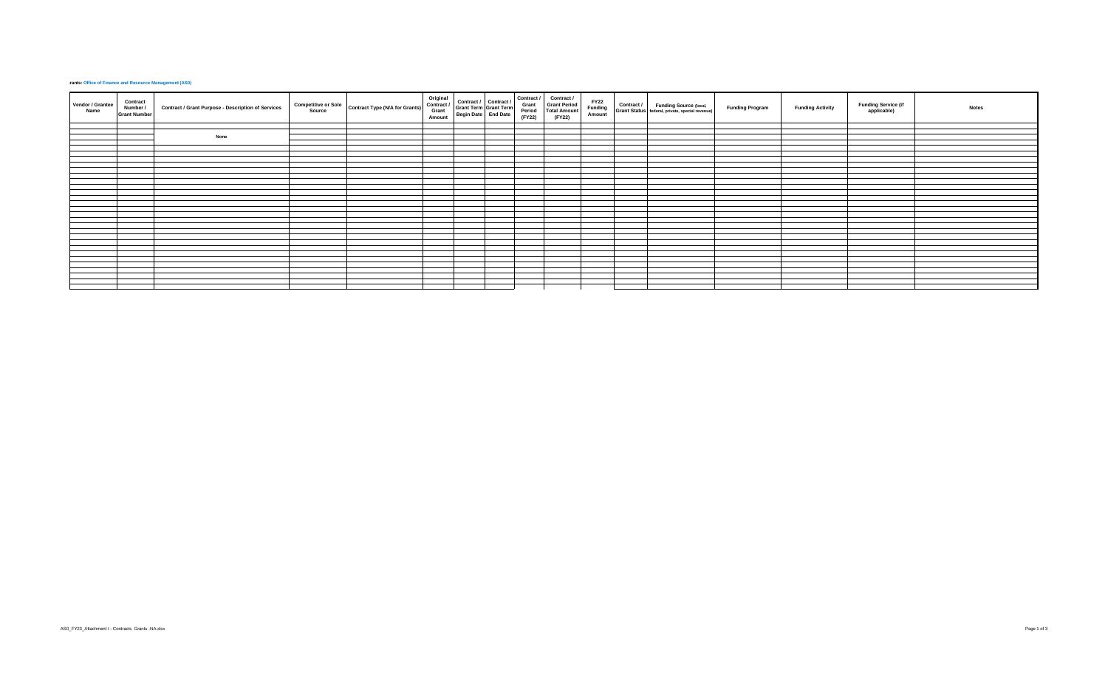## **Frants: Office of Finance and Resource Management (AS0)**

| Vendor / Grantee<br>Name | Contract<br>Number /<br><b>Grant Number</b> | Contract / Grant Purpose - Description of Services | <b>Competitive or Sole</b><br>Source | <b>Contract Type (N/A for Grants)</b> | Original<br>Contract /<br>Grant<br>Amount | Contract / Contract /<br>Grant Term Grant Term<br>Begin Date End Date | Contract /<br>Grant<br>Period<br>(FY22) | Contract /<br><b>Grant Period</b><br><b>Total Amount</b><br>(FY22) |  | $\begin{array}{c c c} \text{FY22} & \text{Contract } I & \text{Funding Source (local,)} \\ \text{Funding} & \text{Grant Status} & \text{federal, private, special revenue} \end{array}$ | <b>Funding Program</b> | <b>Funding Activity</b> | <b>Funding Service (if</b><br>applicable) | <b>Notes</b> |
|--------------------------|---------------------------------------------|----------------------------------------------------|--------------------------------------|---------------------------------------|-------------------------------------------|-----------------------------------------------------------------------|-----------------------------------------|--------------------------------------------------------------------|--|-----------------------------------------------------------------------------------------------------------------------------------------------------------------------------------------|------------------------|-------------------------|-------------------------------------------|--------------|
|                          |                                             |                                                    |                                      |                                       |                                           |                                                                       |                                         |                                                                    |  |                                                                                                                                                                                         |                        |                         |                                           |              |
|                          |                                             |                                                    |                                      |                                       |                                           |                                                                       |                                         |                                                                    |  |                                                                                                                                                                                         |                        |                         |                                           |              |
|                          |                                             | None                                               |                                      |                                       |                                           |                                                                       |                                         |                                                                    |  |                                                                                                                                                                                         |                        |                         |                                           |              |
|                          |                                             |                                                    |                                      |                                       |                                           |                                                                       |                                         |                                                                    |  |                                                                                                                                                                                         |                        |                         |                                           |              |
|                          |                                             |                                                    |                                      |                                       |                                           |                                                                       |                                         |                                                                    |  |                                                                                                                                                                                         |                        |                         |                                           |              |
|                          |                                             |                                                    |                                      |                                       |                                           |                                                                       |                                         |                                                                    |  |                                                                                                                                                                                         |                        |                         |                                           |              |
|                          |                                             |                                                    |                                      |                                       |                                           |                                                                       |                                         |                                                                    |  |                                                                                                                                                                                         |                        |                         |                                           |              |
|                          |                                             |                                                    |                                      |                                       |                                           |                                                                       |                                         |                                                                    |  |                                                                                                                                                                                         |                        |                         |                                           |              |
|                          |                                             |                                                    |                                      |                                       |                                           |                                                                       |                                         |                                                                    |  |                                                                                                                                                                                         |                        |                         |                                           |              |
|                          |                                             |                                                    |                                      |                                       |                                           |                                                                       |                                         |                                                                    |  |                                                                                                                                                                                         |                        |                         |                                           |              |
|                          |                                             |                                                    |                                      |                                       |                                           |                                                                       |                                         |                                                                    |  |                                                                                                                                                                                         |                        |                         |                                           |              |
|                          |                                             |                                                    |                                      |                                       |                                           |                                                                       |                                         |                                                                    |  |                                                                                                                                                                                         |                        |                         |                                           |              |
|                          |                                             |                                                    |                                      |                                       |                                           |                                                                       |                                         |                                                                    |  |                                                                                                                                                                                         |                        |                         |                                           |              |
|                          |                                             |                                                    |                                      |                                       |                                           |                                                                       |                                         |                                                                    |  |                                                                                                                                                                                         |                        |                         |                                           |              |
|                          |                                             |                                                    |                                      |                                       |                                           |                                                                       |                                         |                                                                    |  |                                                                                                                                                                                         |                        |                         |                                           |              |
|                          |                                             |                                                    |                                      |                                       |                                           |                                                                       |                                         |                                                                    |  |                                                                                                                                                                                         |                        |                         |                                           |              |
|                          |                                             |                                                    |                                      |                                       |                                           |                                                                       |                                         |                                                                    |  |                                                                                                                                                                                         |                        |                         |                                           |              |
|                          |                                             |                                                    |                                      |                                       |                                           |                                                                       |                                         |                                                                    |  |                                                                                                                                                                                         |                        |                         |                                           |              |
|                          |                                             |                                                    |                                      |                                       |                                           |                                                                       |                                         |                                                                    |  |                                                                                                                                                                                         |                        |                         |                                           |              |
|                          |                                             |                                                    |                                      |                                       |                                           |                                                                       |                                         |                                                                    |  |                                                                                                                                                                                         |                        |                         |                                           |              |
|                          |                                             |                                                    |                                      |                                       |                                           |                                                                       |                                         |                                                                    |  |                                                                                                                                                                                         |                        |                         |                                           |              |
|                          |                                             |                                                    |                                      |                                       |                                           |                                                                       |                                         |                                                                    |  |                                                                                                                                                                                         |                        |                         |                                           |              |
|                          |                                             |                                                    |                                      |                                       |                                           |                                                                       |                                         |                                                                    |  |                                                                                                                                                                                         |                        |                         |                                           |              |
|                          |                                             |                                                    |                                      |                                       |                                           |                                                                       |                                         |                                                                    |  |                                                                                                                                                                                         |                        |                         |                                           |              |
|                          |                                             |                                                    |                                      |                                       |                                           |                                                                       |                                         |                                                                    |  |                                                                                                                                                                                         |                        |                         |                                           |              |
|                          |                                             |                                                    |                                      |                                       |                                           |                                                                       |                                         |                                                                    |  |                                                                                                                                                                                         |                        |                         |                                           |              |
|                          |                                             |                                                    |                                      |                                       |                                           |                                                                       |                                         |                                                                    |  |                                                                                                                                                                                         |                        |                         |                                           |              |
|                          |                                             |                                                    |                                      |                                       |                                           |                                                                       |                                         |                                                                    |  |                                                                                                                                                                                         |                        |                         |                                           |              |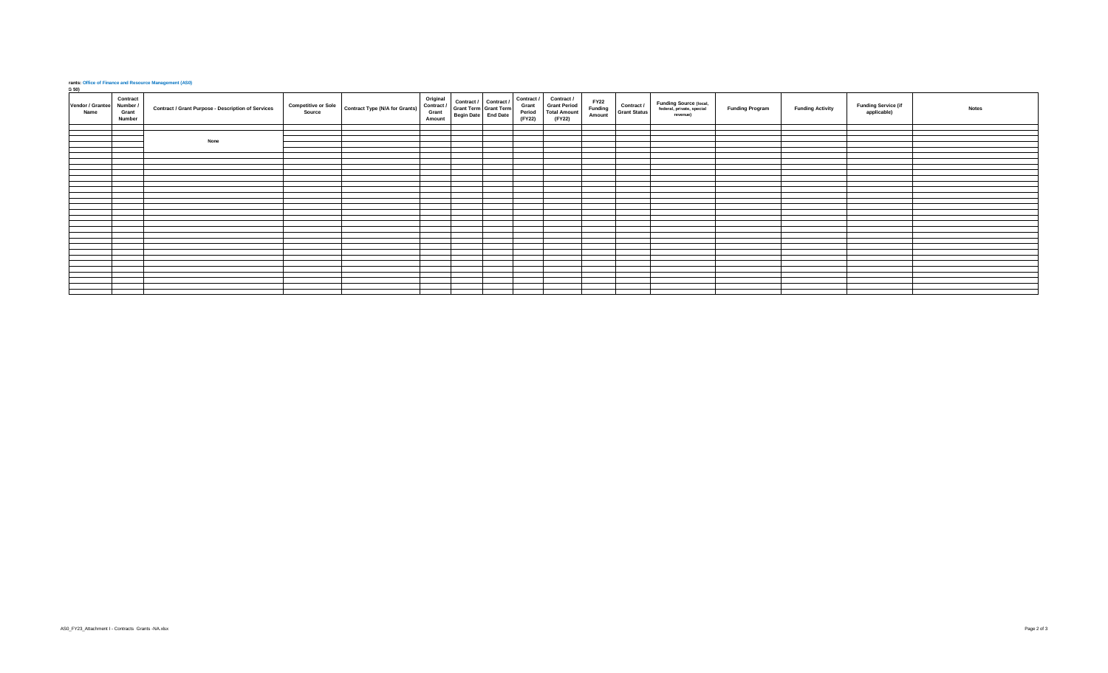## **rants: Office of Finance and Resource Management (AS0)**<br>**G 50)**

| $\frac{9}{20}$<br>Vendor / Grantee<br>Name | Contract<br>Number /<br>Grant<br>Number | Contract / Grant Purpose - Description of Services | <b>Competitive or Sole</b><br>Source | <b>Contract Type (N/A for Grants)</b> | Original<br>Contract /<br>Grant<br>Amount | Contract / Contract /<br>Grant Term Grant Term<br>Begin Date End Date | Contract /<br>Grant<br>Period<br>(FY22) | Contract /<br><b>Grant Period</b><br><b>Total Amount</b><br>(FY22) | <b>FY22</b><br><b>Funding</b><br>Amount | Contract /<br><b>Grant Status</b> | Funding Source (local,<br>federal, private, special<br>revenue) | <b>Funding Program</b> | <b>Funding Activity</b> | <b>Funding Service (if</b><br>applicable) | <b>Notes</b> |
|--------------------------------------------|-----------------------------------------|----------------------------------------------------|--------------------------------------|---------------------------------------|-------------------------------------------|-----------------------------------------------------------------------|-----------------------------------------|--------------------------------------------------------------------|-----------------------------------------|-----------------------------------|-----------------------------------------------------------------|------------------------|-------------------------|-------------------------------------------|--------------|
|                                            |                                         |                                                    |                                      |                                       |                                           |                                                                       |                                         |                                                                    |                                         |                                   |                                                                 |                        |                         |                                           |              |
|                                            |                                         | None                                               |                                      |                                       |                                           |                                                                       |                                         |                                                                    |                                         |                                   |                                                                 |                        |                         |                                           |              |
|                                            |                                         |                                                    |                                      |                                       |                                           |                                                                       |                                         |                                                                    |                                         |                                   |                                                                 |                        |                         |                                           |              |
|                                            |                                         |                                                    |                                      |                                       |                                           |                                                                       |                                         |                                                                    |                                         |                                   |                                                                 |                        |                         |                                           |              |
|                                            |                                         |                                                    |                                      |                                       |                                           |                                                                       |                                         |                                                                    |                                         |                                   |                                                                 |                        |                         |                                           |              |
|                                            |                                         |                                                    |                                      |                                       |                                           |                                                                       |                                         |                                                                    |                                         |                                   |                                                                 |                        |                         |                                           |              |
|                                            |                                         |                                                    |                                      |                                       |                                           |                                                                       |                                         |                                                                    |                                         |                                   |                                                                 |                        |                         |                                           |              |
|                                            |                                         |                                                    |                                      |                                       |                                           |                                                                       |                                         |                                                                    |                                         |                                   |                                                                 |                        |                         |                                           |              |
|                                            |                                         |                                                    |                                      |                                       |                                           |                                                                       |                                         |                                                                    |                                         |                                   |                                                                 |                        |                         |                                           |              |
|                                            |                                         |                                                    |                                      |                                       |                                           |                                                                       |                                         |                                                                    |                                         |                                   |                                                                 |                        |                         |                                           |              |
|                                            |                                         |                                                    |                                      |                                       |                                           |                                                                       |                                         |                                                                    |                                         |                                   |                                                                 |                        |                         |                                           |              |
|                                            |                                         |                                                    |                                      |                                       |                                           |                                                                       |                                         |                                                                    |                                         |                                   |                                                                 |                        |                         |                                           |              |
|                                            |                                         |                                                    |                                      |                                       |                                           |                                                                       |                                         |                                                                    |                                         |                                   |                                                                 |                        |                         |                                           |              |
|                                            |                                         |                                                    |                                      |                                       |                                           |                                                                       |                                         |                                                                    |                                         |                                   |                                                                 |                        |                         |                                           |              |
|                                            |                                         |                                                    |                                      |                                       |                                           |                                                                       |                                         |                                                                    |                                         |                                   |                                                                 |                        |                         |                                           |              |
|                                            |                                         |                                                    |                                      |                                       |                                           |                                                                       |                                         |                                                                    |                                         |                                   |                                                                 |                        |                         |                                           |              |
|                                            |                                         |                                                    |                                      |                                       |                                           |                                                                       |                                         |                                                                    |                                         |                                   |                                                                 |                        |                         |                                           |              |
|                                            |                                         |                                                    |                                      |                                       |                                           |                                                                       |                                         |                                                                    |                                         |                                   |                                                                 |                        |                         |                                           |              |
|                                            |                                         |                                                    |                                      |                                       |                                           |                                                                       |                                         |                                                                    |                                         |                                   |                                                                 |                        |                         |                                           |              |
|                                            |                                         |                                                    |                                      |                                       |                                           |                                                                       |                                         |                                                                    |                                         |                                   |                                                                 |                        |                         |                                           |              |
|                                            |                                         |                                                    |                                      |                                       |                                           |                                                                       |                                         |                                                                    |                                         |                                   |                                                                 |                        |                         |                                           |              |
|                                            |                                         |                                                    |                                      |                                       |                                           |                                                                       |                                         |                                                                    |                                         |                                   |                                                                 |                        |                         |                                           |              |
|                                            |                                         |                                                    |                                      |                                       |                                           |                                                                       |                                         |                                                                    |                                         |                                   |                                                                 |                        |                         |                                           |              |
|                                            |                                         |                                                    |                                      |                                       |                                           |                                                                       |                                         |                                                                    |                                         |                                   |                                                                 |                        |                         |                                           |              |
|                                            |                                         |                                                    |                                      |                                       |                                           |                                                                       |                                         |                                                                    |                                         |                                   |                                                                 |                        |                         |                                           |              |
|                                            |                                         |                                                    |                                      |                                       |                                           |                                                                       |                                         |                                                                    |                                         |                                   |                                                                 |                        |                         |                                           |              |
|                                            |                                         |                                                    |                                      |                                       |                                           |                                                                       |                                         |                                                                    |                                         |                                   |                                                                 |                        |                         |                                           |              |
|                                            |                                         |                                                    |                                      |                                       |                                           |                                                                       |                                         |                                                                    |                                         |                                   |                                                                 |                        |                         |                                           |              |